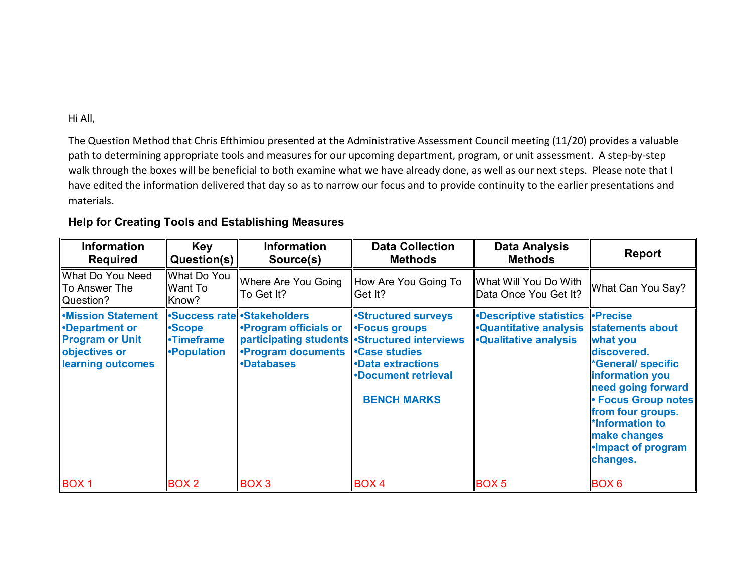## Hi All,

The Question Method that Chris Efthimiou presented at the Administrative Assessment Council meeting (11/20) provides a valuable path to determining appropriate tools and measures for our upcoming department, program, or unit assessment. A step-by-step walk through the boxes will be beneficial to both examine what we have already done, as well as our next steps. Please note that I have edited the information delivered that day so as to narrow our focus and to provide continuity to the earlier presentations and materials.

## **Help for Creating Tools and Establishing Measures**

| <b>Information</b><br><b>Required</b>                                                                                   | <b>Key</b><br>Question(s)                  | <b>Information</b><br>Source(s)                                                                              | <b>Data Collection</b><br><b>Methods</b>                                                                                                                                                                  | <b>Data Analysis</b><br><b>Methods</b>                                                                                    | <b>Report</b>                                                                                                                                                                                                                |
|-------------------------------------------------------------------------------------------------------------------------|--------------------------------------------|--------------------------------------------------------------------------------------------------------------|-----------------------------------------------------------------------------------------------------------------------------------------------------------------------------------------------------------|---------------------------------------------------------------------------------------------------------------------------|------------------------------------------------------------------------------------------------------------------------------------------------------------------------------------------------------------------------------|
| What Do You Need<br>∥To Answer The<br>  Question?                                                                       | What Do You<br>Want To<br>Know?            | Where Are You Going<br>∥To Get It?                                                                           | How Are You Going To<br>Get It?                                                                                                                                                                           | ∥What Will You Do With<br>Data Once You Get It?                                                                           | What Can You Say?                                                                                                                                                                                                            |
| <b>Mission Statement</b><br><b>Department or</b><br><b>Program or Unit</b><br>objectives or<br><b>learning outcomes</b> | •Scope<br><b>•Timeframe</b><br>•Population | •Success rate •Stakeholders<br><b>Program officials or</b><br><b>•Program documents</b><br><b>-Databases</b> | <b>Structured surveys</b><br><b>-Focus groups</b><br>participating students -Structured interviews<br><b>Case studies</b><br><b>-Data extractions</b><br><b>-Document retrieval</b><br><b>BENCH MARKS</b> | <b>-Descriptive statistics -Precise</b><br><b>Quantitative analysis statements about</b><br><b>.</b> Qualitative analysis | <b>what you</b><br>discovered.<br><b>'General/ specific</b><br>information you<br>need going forward<br>• Focus Group notes<br>from four groups.<br>*Information to<br>make changes<br><b>-Impact of program</b><br>changes. |
| <b>BOX1</b>                                                                                                             | BOX <sub>2</sub>                           | <b>BOX3</b>                                                                                                  | BOX 4                                                                                                                                                                                                     | <b>BOX5</b>                                                                                                               | BOX6                                                                                                                                                                                                                         |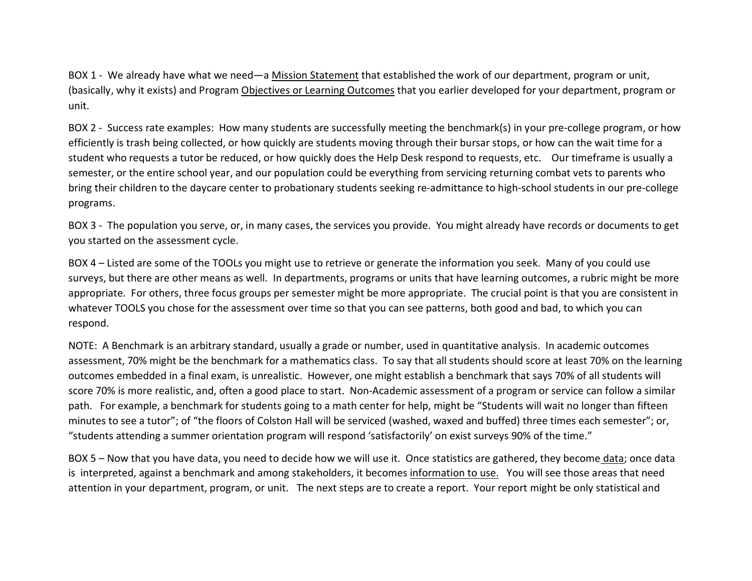BOX 1 - We already have what we need—a Mission Statement that established the work of our department, program or unit, (basically, why it exists) and Program Objectives or Learning Outcomes that you earlier developed for your department, program or unit.

BOX 2 - Success rate examples: How many students are successfully meeting the benchmark(s) in your pre-college program, or how efficiently is trash being collected, or how quickly are students moving through their bursar stops, or how can the wait time for a student who requests a tutor be reduced, or how quickly does the Help Desk respond to requests, etc. Our timeframe is usually a semester, or the entire school year, and our population could be everything from servicing returning combat vets to parents who bring their children to the daycare center to probationary students seeking re-admittance to high-school students in our pre-college programs.

BOX 3 - The population you serve, or, in many cases, the services you provide. You might already have records or documents to get you started on the assessment cycle.

BOX 4 – Listed are some of the TOOLs you might use to retrieve or generate the information you seek. Many of you could use surveys, but there are other means as well. In departments, programs or units that have learning outcomes, a rubric might be more appropriate. For others, three focus groups per semester might be more appropriate. The crucial point is that you are consistent in whatever TOOLS you chose for the assessment over time so that you can see patterns, both good and bad, to which you can respond.

NOTE: A Benchmark is an arbitrary standard, usually a grade or number, used in quantitative analysis. In academic outcomes assessment, 70% might be the benchmark for a mathematics class. To say that all students should score at least 70% on the learning outcomes embedded in a final exam, is unrealistic. However, one might establish a benchmark that says 70% of all students will score 70% is more realistic, and, often a good place to start. Non-Academic assessment of a program or service can follow a similar path. For example, a benchmark for students going to a math center for help, might be "Students will wait no longer than fifteen minutes to see a tutor"; of "the floors of Colston Hall will be serviced (washed, waxed and buffed) three times each semester"; or, "students attending a summer orientation program will respond 'satisfactorily' on exist surveys 90% of the time."

BOX 5 – Now that you have data, you need to decide how we will use it. Once statistics are gathered, they become data; once data is interpreted, against a benchmark and among stakeholders, it becomes information to use. You will see those areas that need attention in your department, program, or unit. The next steps are to create a report. Your report might be only statistical and